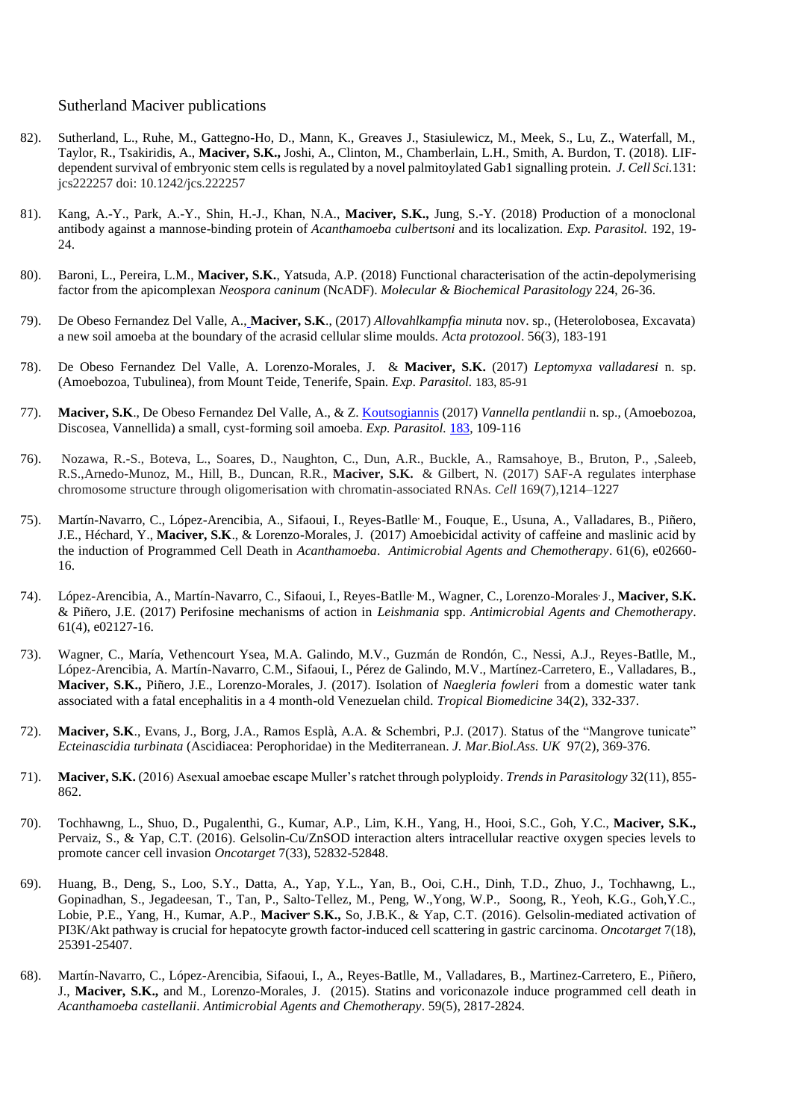## Sutherland Maciver publications

- 82). Sutherland, L., Ruhe, M., Gattegno-Ho, D., Mann, K., Greaves J., Stasiulewicz, M., Meek, S., Lu, Z., Waterfall, M., Taylor, R., Tsakiridis, A., **Maciver, S.K.,** Joshi, A., Clinton, M., Chamberlain, L.H., Smith, A. Burdon, T. (2018). LIFdependent survival of embryonic stem cells is regulated by a novel palmitoylated Gab1 signalling protein*. J. Cell Sci.*131: jcs222257 doi: 10.1242/jcs.222257
- 81). Kang, A.-Y., Park, A.-Y., Shin, H.-J., Khan, N.A., **Maciver, S.K.,** Jung, S.-Y. (2018) Production of a monoclonal antibody against a mannose-binding protein of *Acanthamoeba culbertsoni* and its localization. *Exp. Parasitol.* 192, 19- 24.
- 80). Baroni, L., Pereira, L.M., **Maciver, S.K.**, Yatsuda, A.P. (2018) Functional characterisation of the actin-depolymerising factor from the apicomplexan *Neospora caninum* (NcADF). *Molecular & Biochemical Parasitology* 224, 26-36.
- 79). De Obeso Fernandez Del Valle, A., **Maciver, S.K**., (2017) *Allovahlkampfia minuta* nov. sp., (Heterolobosea, Excavata) a new soil amoeba at the boundary of the acrasid cellular slime moulds. *Acta protozool*. 56(3), 183-191
- 78). De Obeso Fernandez Del Valle, A. Lorenzo-Morales, J. & **Maciver, S.K.** (2017) *Leptomyxa valladaresi* n. sp. (Amoebozoa, Tubulinea), from Mount Teide, Tenerife, Spain. *Exp. Parasitol.* 183, 85-91
- 77). **Maciver, S.K**., De Obeso Fernandez Del Valle, A., & Z. Koutsogiannis (2017) *Vannella pentlandii* n. sp., (Amoebozoa, Discosea, Vannellida) a small, cyst-forming soil amoeba. *Exp. Parasitol.* [183,](https://www.sciencedirect.com/science/journal/00144894/183/supp/C) 109-116
- 76). Nozawa, R.-S., Boteva, L., Soares, D., Naughton, C., Dun, A.R., Buckle, A., Ramsahoye, B., Bruton, P., ,Saleeb, R.S.,Arnedo-Munoz, M., Hill, B., Duncan, R.R., **Maciver, S.K.** & Gilbert, N. (2017) SAF-A regulates interphase chromosome structure through oligomerisation with chromatin-associated RNAs. *Cell* 169(7),1214–1227
- 75). Martín-Navarro, C., López-Arencibia, A., Sifaoui, I., Reyes-Batlle, M., Fouque, E., Usuna, A., Valladares, B., Piñero, J.E., Héchard, Y., **Maciver, S.K**., & Lorenzo-Morales, J. (2017) Amoebicidal activity of caffeine and maslinic acid by the induction of Programmed Cell Death in *Acanthamoeba*. *Antimicrobial Agents and Chemotherapy*. 61(6), e02660- 16.
- 74). López-Arencibia, A., Martín-Navarro, C., Sifaoui, I., Reyes-Batlle, M., Wagner, C., Lorenzo-Morales, J., **Maciver, S.K.** & Piñero, J.E. (2017) Perifosine mechanisms of action in *Leishmania* spp. *Antimicrobial Agents and Chemotherapy*. 61(4), e02127-16.
- 73). Wagner, C., María, Vethencourt Ysea, M.A. Galindo, M.V., Guzmán de Rondón, C., Nessi, A.J., Reyes-Batlle, M., López-Arencibia, A. Martín-Navarro, C.M., Sifaoui, I., Pérez de Galindo, M.V., Martínez-Carretero, E., Valladares, B., **Maciver, S.K.,** Piñero, J.E., Lorenzo-Morales, J. (2017). Isolation of *Naegleria fowleri* from a domestic water tank associated with a fatal encephalitis in a 4 month-old Venezuelan child*. Tropical Biomedicine* 34(2), 332-337.
- 72). **Maciver, S.K**., Evans, J., Borg, J.A., Ramos Esplà, A.A. & Schembri, P.J. (2017). Status of the "Mangrove tunicate" *Ecteinascidia turbinata* (Ascidiacea: Perophoridae) in the Mediterranean. *J. Mar.Biol.Ass. UK* 97(2), 369-376.
- 71). **Maciver, S.K.** (2016) Asexual amoebae escape Muller's ratchet through polyploidy. *Trends in Parasitology* 32(11), 855- 862.
- 70). Tochhawng, L., Shuo, D., Pugalenthi, G., Kumar, A.P., Lim, K.H., Yang, H., Hooi, S.C., Goh, Y.C., **Maciver, S.K.,** Pervaiz, S., & Yap, C.T. (2016). Gelsolin-Cu/ZnSOD interaction alters intracellular reactive oxygen species levels to promote cancer cell invasion *Oncotarget* 7(33), 52832-52848.
- 69). Huang, B., Deng, S., Loo, S.Y., Datta, A., Yap, Y.L., Yan, B., Ooi, C.H., Dinh, T.D., Zhuo, J., Tochhawng, L., Gopinadhan, S., Jegadeesan, T., Tan, P., Salto-Tellez, M., Peng, W.,Yong, W.P., Soong, R., Yeoh, K.G., Goh,Y.C., Lobie, P.E., Yang, H., Kumar, A.P., **Maciver, S.K.,** So, J.B.K., & Yap, C.T. (2016). Gelsolin-mediated activation of PI3K/Akt pathway is crucial for hepatocyte growth factor-induced cell scattering in gastric carcinoma. *Oncotarget* 7(18), 25391-25407.
- 68). Martín-Navarro, C., López-Arencibia, Sifaoui, I., A., Reyes-Batlle, M., Valladares, B., Martinez-Carretero, E., Piñero, J., **Maciver, S.K.,** and M., Lorenzo-Morales, J. (2015). Statins and voriconazole induce programmed cell death in *Acanthamoeba castellanii*. *Antimicrobial Agents and Chemotherapy*. 59(5), 2817-2824.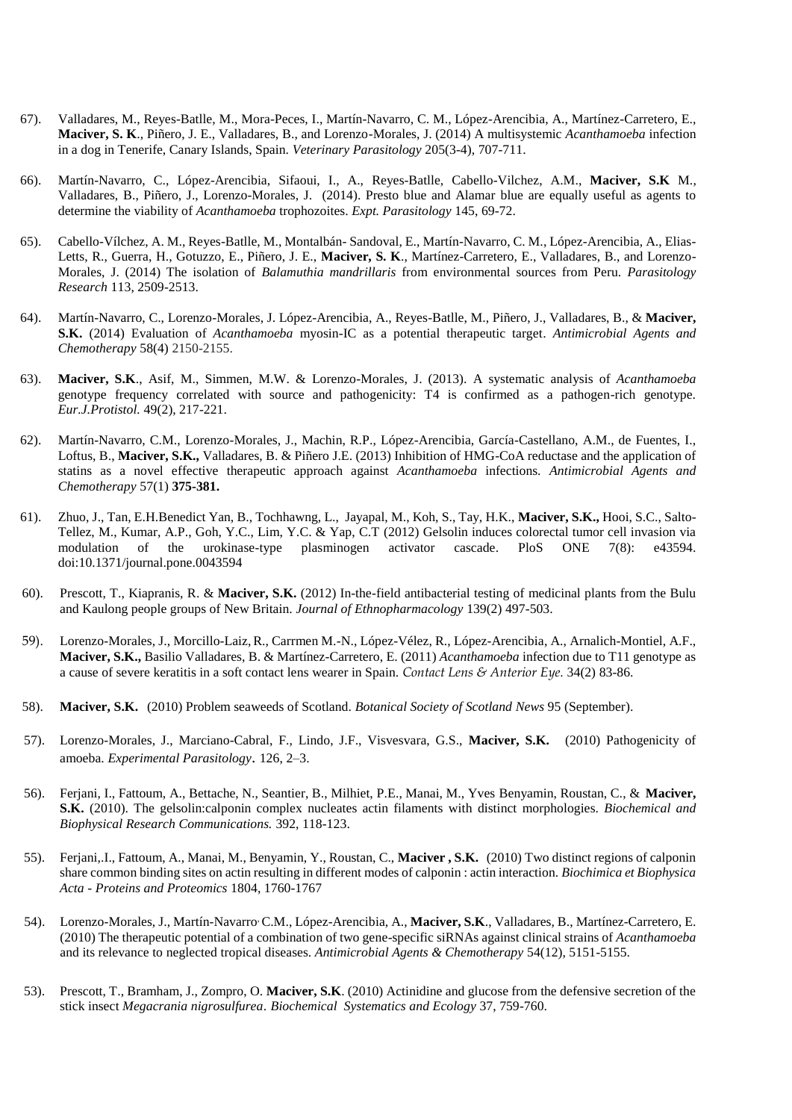- 67). Valladares, M., Reyes-Batlle, M., Mora-Peces, I., Martín-Navarro, C. M., López-Arencibia, A., Martínez-Carretero, E., **Maciver, S. K**., Piñero, J. E., Valladares, B., and Lorenzo-Morales, J. (2014) A multisystemic *Acanthamoeba* infection in a dog in Tenerife, Canary Islands, Spain. *Veterinary Parasitology* 205(3-4), 707-711.
- 66). Martín-Navarro, C., López-Arencibia, Sifaoui, I., A., Reyes-Batlle, Cabello-Vilchez, A.M., **Maciver, S.K** M., Valladares, B., Piñero, J., Lorenzo-Morales, J. (2014). Presto blue and Alamar blue are equally useful as agents to determine the viability of *Acanthamoeba* trophozoites. *Expt. Parasitology* 145, 69-72.
- 65). Cabello-Vílchez, A. M., Reyes-Batlle, M., Montalbán- Sandoval, E., Martín-Navarro, C. M., López-Arencibia, A., Elias-Letts, R., Guerra, H., Gotuzzo, E., Piñero, J. E., **Maciver, S. K**., Martínez-Carretero, E., Valladares, B., and Lorenzo-Morales, J. (2014) The isolation of *Balamuthia mandrillaris* from environmental sources from Peru. *Parasitology Research* 113, 2509-2513.
- 64). Martín-Navarro, C., Lorenzo-Morales, J. López-Arencibia, A., Reyes-Batlle, M., Piñero, J., Valladares, B., & **Maciver, S.K.** (2014) Evaluation of *Acanthamoeba* myosin-IC as a potential therapeutic target. *Antimicrobial Agents and Chemotherapy* 58(4) 2150-2155.
- 63). **Maciver, S.K**., Asif, M., Simmen, M.W. & Lorenzo-Morales, J. (2013). A systematic analysis of *Acanthamoeba* genotype frequency correlated with source and pathogenicity: T4 is confirmed as a pathogen-rich genotype. *Eur.J.Protistol.* 49(2), 217-221.
- 62). Martín-Navarro, C.M., Lorenzo-Morales, J., Machin, R.P., López-Arencibia, García-Castellano, A.M., de Fuentes, I., Loftus, B., **Maciver, S.K.,** Valladares, B. & Piñero J.E. (2013) Inhibition of HMG-CoA reductase and the application of statins as a novel effective therapeutic approach against *Acanthamoeba* infections. *Antimicrobial Agents and Chemotherapy* 57(1) **375-381.**
- 61). Zhuo, J., Tan, E.H.Benedict Yan, B., Tochhawng, L., Jayapal, M., Koh, S., Tay, H.K., **Maciver, S.K.,** Hooi, S.C., Salto-Tellez, M., Kumar, A.P., Goh, Y.C., Lim, Y.C. & Yap, C.T (2012) Gelsolin induces colorectal tumor cell invasion via modulation of the urokinase-type plasminogen activator cascade. PloS ONE 7(8): e43594. doi:10.1371/journal.pone.0043594
- 60). Prescott, T., Kiapranis, R. & **Maciver, S.K.** (2012) In-the-field antibacterial testing of medicinal plants from the Bulu and Kaulong people groups of New Britain. *Journal of Ethnopharmacology* 139(2) 497-503.
- 59). Lorenzo-Morales, J., Morcillo-Laiz,R., Carrmen M.-N., López-Vélez, R., López-Arencibia, A., Arnalich-Montiel, A.F., **Maciver, S.K.,** Basilio Valladares, B. & Martínez-Carretero, E. (2011) *Acanthamoeba* infection due to T11 genotype as a cause of severe keratitis in a soft contact lens wearer in Spain. *Contact Lens & Anterior Eye.* 34(2) 83-86.
- 58). **Maciver, S.K.** (2010) Problem seaweeds of Scotland. *Botanical Society of Scotland News* 95 (September).
- 57). Lorenzo-Morales, J., Marciano-Cabral, F., Lindo, J.F., Visvesvara, G.S., **Maciver, S.K.** (2010) Pathogenicity of amoeba. *Experimental Parasitology*. 126, 2–3.
- 56). Ferjani, I., Fattoum, A., Bettache, N., Seantier, B., Milhiet, P.E., Manai, M., Yves Benyamin, Roustan, C., & **Maciver, S.K.** (2010). The gelsolin:calponin complex nucleates actin filaments with distinct morphologies. *Biochemical and Biophysical Research Communications.* 392, 118-123.
- 55). Ferjani,.I., Fattoum, A., Manai, M., Benyamin, Y., Roustan, C., **Maciver , S.K.** (2010) Two distinct regions of calponin share common binding sites on actin resulting in different modes of calponin : actin interaction. *Biochimica et Biophysica Acta - Proteins and Proteomics* 1804, 1760-1767
- 54). Lorenzo-Morales, J., Martín-Navarro, C.M., López-Arencibia, A., **Maciver, S.K**., Valladares, B., Martínez-Carretero, E. (2010) The therapeutic potential of a combination of two gene-specific siRNAs against clinical strains of *Acanthamoeba* and its relevance to neglected tropical diseases. *Antimicrobial Agents & Chemotherapy* 54(12), 5151-5155.
- 53). Prescott, T., Bramham, J., Zompro, O. **Maciver, S.K**. (2010) Actinidine and glucose from the defensive secretion of the stick insect *Megacrania nigrosulfurea*. *Biochemical Systematics and Ecology* 37, 759-760.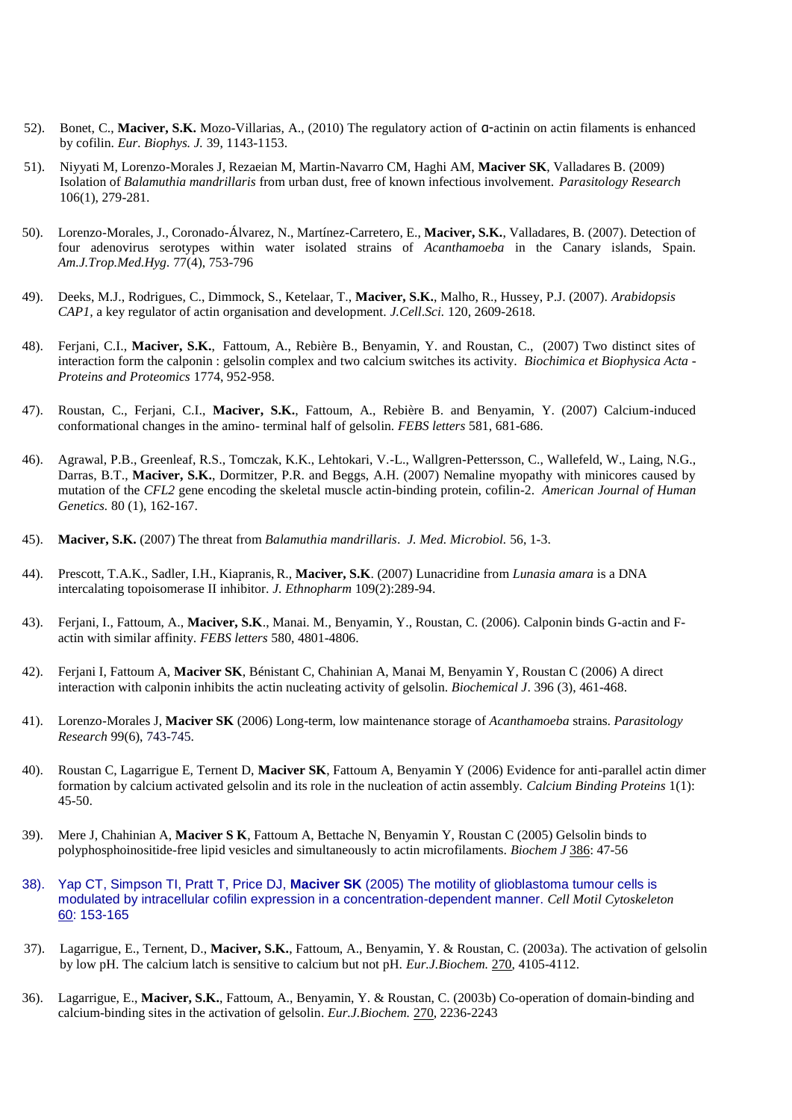- 52). Bonet, C., **Maciver, S.K.** Mozo-Villarias, A., (2010) The regulatory action of α-actinin on actin filaments is enhanced by cofilin. *Eur. Biophys. J.* 39, 1143-1153.
- 51). Niyyati M, Lorenzo-Morales J, Rezaeian M, Martin-Navarro CM, Haghi AM, **Maciver SK**, Valladares B. (2009) Isolation of *Balamuthia mandrillaris* [from urban dust, free of known infectious involvement.](http://www.ncbi.nlm.nih.gov/pubmed/19685076?itool=EntrezSystem2.PEntrez.Pubmed.Pubmed_ResultsPanel.Pubmed_RVDocSum&ordinalpos=1) *Parasitology Research*  106(1), 279-281.
- 50). Lorenzo-Morales, J., Coronado-Álvarez, N., Martínez-Carretero, E., **Maciver, S.K.**, Valladares, B. (2007). Detection of four adenovirus serotypes within water isolated strains of *Acanthamoeba* in the Canary islands, Spain. *Am.J.Trop.Med.Hyg.* 77(4), 753-796
- 49). Deeks, M.J., Rodrigues, C., Dimmock, S., Ketelaar, T., **Maciver, S.K.**, Malho, R., Hussey, P.J. (2007). *Arabidopsis CAP1,* a key regulator of actin organisation and development. *J.Cell*.*Sci.* 120, 2609-2618.
- 48). Ferjani, C.I., **Maciver, S.K.**, Fattoum, A., Rebière B., Benyamin, Y. and Roustan, C., (2007) Two distinct sites of interaction form the calponin : gelsolin complex and two calcium switches its activity. *Biochimica et Biophysica Acta - Proteins and Proteomics* 1774, 952-958.
- 47). Roustan, C., Ferjani, C.I., **Maciver, S.K.**, Fattoum, A., Rebière B. and Benyamin, Y. (2007) Calcium-induced conformational changes in the amino- terminal half of gelsolin. *FEBS letters* 581, 681-686.
- 46). Agrawal, P.B., Greenleaf, R.S., Tomczak, K.K., Lehtokari, V.-L., Wallgren-Pettersson, C., Wallefeld, W., Laing, N.G., Darras, B.T., **Maciver, S.K.**, Dormitzer, P.R. and Beggs, A.H. (2007) Nemaline myopathy with minicores caused by mutation of the *CFL2* gene encoding the skeletal muscle actin-binding protein, cofilin-2. *American Journal of Human Genetics.* 80 (1), 162-167.
- 45). **Maciver, S.K.** (2007) The threat from *Balamuthia mandrillaris*. *J. Med. Microbiol.* 56, 1-3.
- 44). Prescott, T.A.K., Sadler, I.H., Kiapranis, R., **Maciver, S.K**. (2007) Lunacridine from *Lunasia amara* is a DNA intercalating topoisomerase II inhibitor. *J. Ethnopharm* 109(2):289-94.
- 43). Ferjani, I., Fattoum, A., **Maciver, S.K**., Manai. M., Benyamin, Y., Roustan, C. (2006). Calponin binds G-actin and Factin with similar affinity. *FEBS letters* 580, 4801-4806.
- 42). Ferjani I, Fattoum A, **Maciver SK**, Bénistant C, Chahinian A, Manai M, Benyamin Y, Roustan C (2006) A direct interaction with calponin inhibits the actin nucleating activity of gelsolin. *Biochemical J*. 396 (3), 461-468.
- 41). Lorenzo-Morales J, **Maciver SK** (2006) Long-term, low maintenance storage of *Acanthamoeba* strains. *Parasitology Research* 99(6), 743-745.
- 40). Roustan C, Lagarrigue E, Ternent D, **Maciver SK**, Fattoum A, Benyamin Y (2006) Evidence for anti-parallel actin dimer formation by calcium activated gelsolin and its role in the nucleation of actin assembly. *Calcium Binding Proteins* 1(1): 45-50.
- 39). Mere J, Chahinian A, **Maciver S K**, Fattoum A, Bettache N, Benyamin Y, Roustan C (2005) Gelsolin binds to polyphosphoinositide-free lipid vesicles and simultaneously to actin microfilaments. *Biochem J* 386: 47-56
- 38). Yap CT, Simpson TI, Pratt T, Price DJ, **Maciver SK** (2005) The motility of glioblastoma tumour cells is modulated by intracellular cofilin expression in a concentration-dependent manner. *Cell Motil Cytoskeleton* 60: 153-165
- 37). Lagarrigue, E., Ternent, D., **Maciver, S.K.**, Fattoum, A., Benyamin, Y. & Roustan, C. (2003a). The activation of gelsolin by low pH. The calcium latch is sensitive to calcium but not pH. *Eur.J.Biochem.* 270, 4105-4112.
- 36). Lagarrigue, E., **Maciver, S.K.**, Fattoum, A., Benyamin, Y. & Roustan, C. (2003b) Co-operation of domain-binding and calcium-binding sites in the activation of gelsolin. *Eur.J.Biochem.* 270, 2236-2243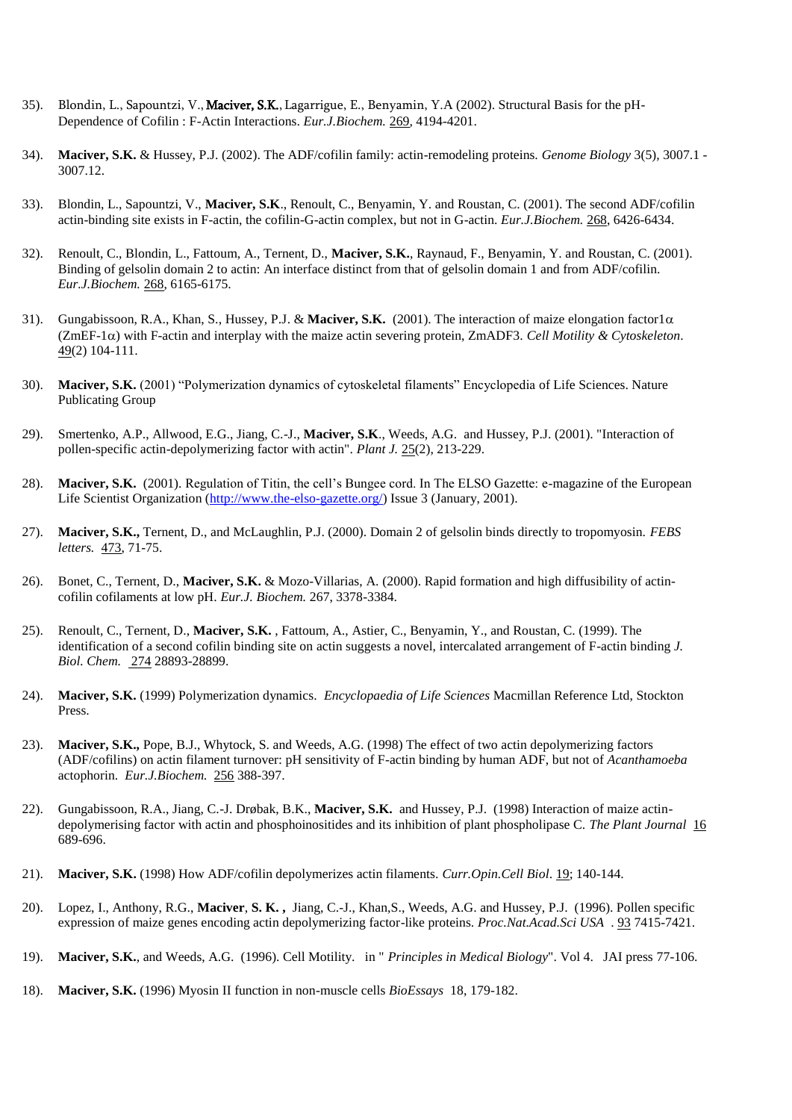- 35). Blondin, L., Sapountzi, V., Maciver, S.K., Lagarrigue, E., Benyamin, Y.A (2002). Structural Basis for the pH-Dependence of Cofilin : F-Actin Interactions. *Eur.J.Biochem.* 269*,* 4194-4201.
- 34). **Maciver, S.K.** & Hussey, P.J. (2002). The ADF/cofilin family: actin-remodeling proteins. *Genome Biology* 3(5)*,* 3007.1 3007.12.
- 33). Blondin, L., Sapountzi, V., **Maciver, S.K**., Renoult, C., Benyamin, Y. and Roustan, C. (2001). The second ADF/cofilin actin-binding site exists in F-actin, the cofilin-G-actin complex, but not in G-actin. *Eur.J.Biochem.* 268, 6426-6434.
- 32). Renoult, C., Blondin, L., Fattoum, A., Ternent, D., **Maciver, S.K.**, Raynaud, F., Benyamin, Y. and Roustan, C. (2001). Binding of gelsolin domain 2 to actin: An interface distinct from that of gelsolin domain 1 and from ADF/cofilin. *Eur.J.Biochem.* 268, 6165-6175.
- 31). Gungabissoon, R.A., Khan, S., Hussey, P.J. & Maciver, S.K.  $(2001)$ . The interaction of maize elongation factor1 $\alpha$  $(ZmEF-1\alpha)$  with F-actin and interplay with the maize actin severing protein, ZmADF3. *Cell Motility & Cytoskeleton*. 49(2) 104-111.
- 30). **Maciver, S.K.** (2001) "Polymerization dynamics of cytoskeletal filaments" Encyclopedia of Life Sciences. Nature Publicating Group
- 29). Smertenko, A.P., Allwood, E.G., Jiang, C.-J., **Maciver, S.K**., Weeds, A.G. and Hussey, P.J. (2001). "Interaction of pollen-specific actin-depolymerizing factor with actin". *Plant J.* 25(2), 213-229.
- 28). **Maciver, S.K.** (2001). Regulation of Titin, the cell's Bungee cord. In The ELSO Gazette: e-magazine of the European Life Scientist Organization [\(http://www.the-elso-gazette.org/\)](http://www.the-elso-gazette.org/) Issue 3 (January, 2001).
- 27). **Maciver, S.K.,** Ternent, D., and McLaughlin, P.J. (2000). Domain 2 of gelsolin binds directly to tropomyosin. *FEBS letters.* 473, 71-75.
- 26). Bonet, C., Ternent, D., **Maciver, S.K.** & Mozo-Villarias, A. (2000). Rapid formation and high diffusibility of actincofilin cofilaments at low pH. *Eur.J. Biochem.* 267, 3378-3384.
- 25). Renoult, C., Ternent, D., **Maciver, S.K.** , Fattoum, A., Astier, C., Benyamin, Y., and Roustan, C. (1999). The identification of a second cofilin binding site on actin suggests a novel, intercalated arrangement of F-actin binding *J. Biol. Chem.* 274 28893-28899.
- 24). **Maciver, S.K.** (1999) Polymerization dynamics. *Encyclopaedia of Life Sciences* Macmillan Reference Ltd, Stockton Press.
- 23). **Maciver, S.K.,** Pope, B.J., Whytock, S. and Weeds, A.G. (1998) The effect of two actin depolymerizing factors (ADF/cofilins) on actin filament turnover: pH sensitivity of F-actin binding by human ADF, but not of *Acanthamoeba* actophorin. *Eur.J.Biochem.* 256 388-397.
- 22). Gungabissoon, R.A., Jiang, C.-J. Drøbak, B.K., **Maciver, S.K.** and Hussey, P.J. (1998) Interaction of maize actindepolymerising factor with actin and phosphoinositides and its inhibition of plant phospholipase C. *The Plant Journal* 16 689-696.
- 21). **Maciver, S.K.** (1998) How ADF/cofilin depolymerizes actin filaments. *Curr.Opin.Cell Biol*. 19; 140-144.
- 20). Lopez, I., Anthony, R.G., **Maciver**, **S. K. ,** Jiang, C.-J., Khan,S., Weeds, A.G. and Hussey, P.J. (1996). Pollen specific expression of maize genes encoding actin depolymerizing factor-like proteins. *Proc.Nat.Acad.Sci USA* . 93 7415-7421.
- 19). **Maciver, S.K.**, and Weeds, A.G. (1996). Cell Motility. in " *Principles in Medical Biology*". Vol 4. JAI press 77-106.
- 18). **Maciver, S.K.** (1996) Myosin II function in non-muscle cells *BioEssays* 18, 179-182.